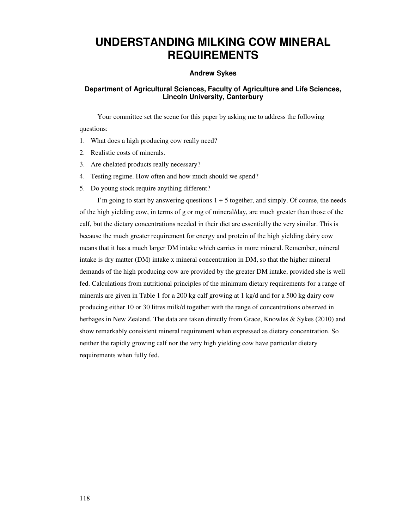# **UNDERSTANDING MILKING COW MINERAL REQUIREMENTS**

## **Andrew Sykes**

# **Department of Agricultural Sciences, Faculty of Agriculture and Life Sciences, Lincoln University, Canterbury**

Your committee set the scene for this paper by asking me to address the following questions:

- 1. What does a high producing cow really need?
- 2. Realistic costs of minerals.
- 3. Are chelated products really necessary?
- 4. Testing regime. How often and how much should we spend?
- 5. Do young stock require anything different?

I'm going to start by answering questions  $1 + 5$  together, and simply. Of course, the needs of the high yielding cow, in terms of g or mg of mineral/day, are much greater than those of the calf, but the dietary concentrations needed in their diet are essentially the very similar. This is because the much greater requirement for energy and protein of the high yielding dairy cow means that it has a much larger DM intake which carries in more mineral. Remember, mineral intake is dry matter (DM) intake x mineral concentration in DM, so that the higher mineral demands of the high producing cow are provided by the greater DM intake, provided she is well fed. Calculations from nutritional principles of the minimum dietary requirements for a range of minerals are given in Table 1 for a 200 kg calf growing at 1 kg/d and for a 500 kg dairy cow producing either 10 or 30 litres milk/d together with the range of concentrations observed in herbages in New Zealand. The data are taken directly from Grace, Knowles & Sykes (2010) and show remarkably consistent mineral requirement when expressed as dietary concentration. So neither the rapidly growing calf nor the very high yielding cow have particular dietary requirements when fully fed.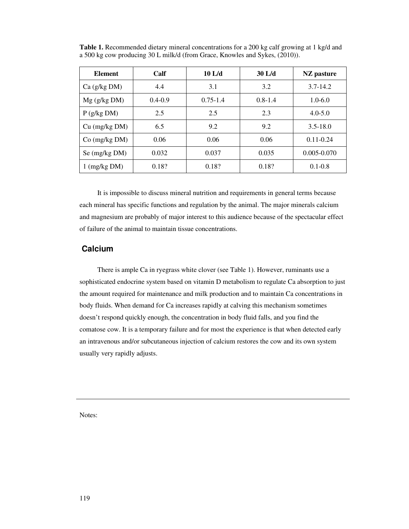| <b>Element</b>         | Calf        | $10$ L/d     | $30$ L/d    | NZ pasture      |
|------------------------|-------------|--------------|-------------|-----------------|
| $Ca$ (g/kg DM)         | 4.4         | 3.1          | 3.2         | $3.7 - 14.2$    |
| $Mg$ (g/kg DM)         | $0.4 - 0.9$ | $0.75 - 1.4$ | $0.8 - 1.4$ | $1.0 - 6.0$     |
| $P$ (g/kg DM)          | 2.5         | 2.5          | 2.3         | $4.0 - 5.0$     |
| $Cu$ (mg/kg $DM$ )     | 6.5         | 9.2          | 9.2         | $3.5 - 18.0$    |
| $Co$ (mg/kg DM)        | 0.06        | 0.06         | 0.06        | $0.11 - 0.24$   |
| Se (mg/kg DM)          | 0.032       | 0.037        | 0.035       | $0.005 - 0.070$ |
| $1 \text{ (mg/kg DM)}$ | 0.18?       | 0.18?        | 0.18?       | $0.1 - 0.8$     |

**Table 1.** Recommended dietary mineral concentrations for a 200 kg calf growing at 1 kg/d and a 500 kg cow producing 30 L milk/d (from Grace, Knowles and Sykes, (2010)).

It is impossible to discuss mineral nutrition and requirements in general terms because each mineral has specific functions and regulation by the animal. The major minerals calcium and magnesium are probably of major interest to this audience because of the spectacular effect of failure of the animal to maintain tissue concentrations.

# **Calcium**

There is ample Ca in ryegrass white clover (see Table 1). However, ruminants use a sophisticated endocrine system based on vitamin D metabolism to regulate Ca absorption to just the amount required for maintenance and milk production and to maintain Ca concentrations in body fluids. When demand for Ca increases rapidly at calving this mechanism sometimes doesn't respond quickly enough, the concentration in body fluid falls, and you find the comatose cow. It is a temporary failure and for most the experience is that when detected early an intravenous and/or subcutaneous injection of calcium restores the cow and its own system usually very rapidly adjusts.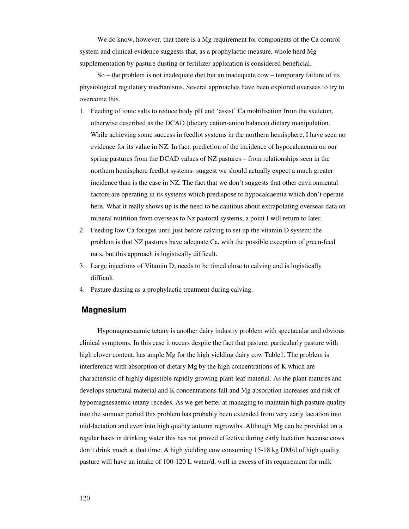We do know, however, that there is a Mg requirement for components of the Ca control system and clinical evidence suggests that, as a prophylactic measure, whole herd Mg supplementation by pasture dusting or fertilizer application is considered beneficial.

So – the problem is not inadequate diet but an inadequate cow – temporary failure of its physiological regulatory mechanisms. Several approaches have been explored overseas to try to overcome this.

- 1. Feeding of ionic salts to reduce body pH and 'assist' Ca mobilisation from the skeleton, otherwise described as the DCAD (dietary cation-anion balance) dietary manipulation. While achieving some success in feedlot systems in the northern hemisphere, I have seen no evidence for its value in NZ. In fact, prediction of the incidence of hypocalcaemia on our spring pastures from the DCAD values of NZ pastures – from relationships seen in the northern hemisphere feedlot systems- suggest we should actually expect a much greater incidence than is the case in NZ. The fact that we don't suggests that other environmental factors are operating in its systems which predispose to hypocalcaemia which don't operate here. What it really shows up is the need to be cautious about extrapolating overseas data on mineral nutrition from overseas to Nz pastoral systems, a point I will return to later.
- 2. Feeding low Ca forages until just before calving to set up the vitamin D system; the problem is that NZ pastures have adequate Ca, with the possible exception of green-feed oats, but this approach is logistically difficult.
- 3. Large injections of Vitamin D; needs to be timed close to calving and is logistically difficult.
- 4. Pasture dusting as a prophylactic treatment during calving.

### **Magnesium**

Hypomagnesaemic tetany is another dairy industry problem with spectacular and obvious clinical symptoms. In this case it occurs despite the fact that pasture, particularly pasture with high clover content, has ample Mg for the high yielding dairy cow Table1. The problem is interference with absorption of dietary Mg by the high concentrations of K which are characteristic of highly digestible rapidly growing plant leaf material. As the plant matures and develops structural material and K concentrations fall and Mg absorption increases and risk of hypomagnesaemic tetany recedes. As we get better at managing to maintain high pasture quality into the summer period this problem has probably been extended from very early lactation into mid-lactation and even into high quality autumn regrowths. Although Mg can be provided on a regular basis in drinking water this has not proved effective during early lactation because cows don't drink much at that time. A high yielding cow consuming 15-18 kg DM/d of high quality pasture will have an intake of 100-120 L water/d, well in excess of its requirement for milk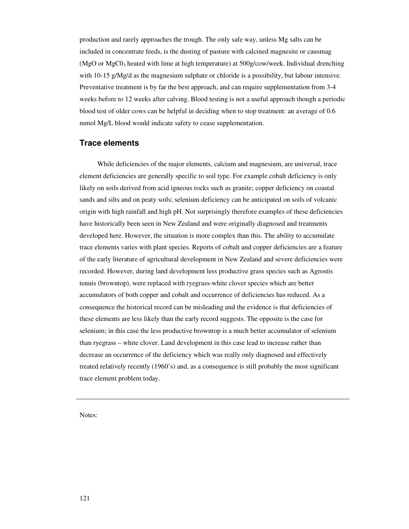production and rarely approaches the trough. The only safe way, unless Mg salts can be included in concentrate feeds, is the dusting of pasture with calcined magnesite or causmag (MgO or  $MgCO<sub>3</sub>$  heated with lime at high temperature) at 500g/cow/week. Individual drenching with 10-15 g/Mg/d as the magnesium sulphate or chloride is a possibility, but labour intensive. Preventative treatment is by far the best approach, and can require supplementation from 3-4 weeks before to 12 weeks after calving. Blood testing is not a useful approach though a periodic blood test of older cows can be helpful in deciding when to stop treatment: an average of 0.6 mmol Mg/L blood would indicate safety to cease supplementation.

## **Trace elements**

While deficiencies of the major elements, calcium and magnesium, are universal, trace element deficiencies are generally specific to soil type. For example cobalt deficiency is only likely on soils derived from acid igneous rocks such as granite; copper deficiency on coastal sands and silts and on peaty soils; selenium deficiency can be anticipated on soils of volcanic origin with high rainfall and high pH. Not surprisingly therefore examples of these deficiencies have historically been seen in New Zealand and were originally diagnosed and treatments developed here. However, the situation is more complex than this. The ability to accumulate trace elements varies with plant species. Reports of cobalt and copper deficiencies are a feature of the early literature of agricultural development in New Zealand and severe deficiencies were recorded. However, during land development less productive grass species such as Agrostis tenuis (browntop), were replaced with ryegrass-white clover species which are better accumulators of both copper and cobalt and occurrence of deficiencies has reduced. As a consequence the historical record can be misleading and the evidence is that deficiencies of these elements are less likely than the early record suggests. The opposite is the case for selenium; in this case the less productive browntop is a much better accumulator of selenium than ryegrass – white clover. Land development in this case lead to increase rather than decrease an occurrence of the deficiency which was really only diagnosed and effectively treated relatively recently (1960's) and, as a consequence is still probably the most significant trace element problem today.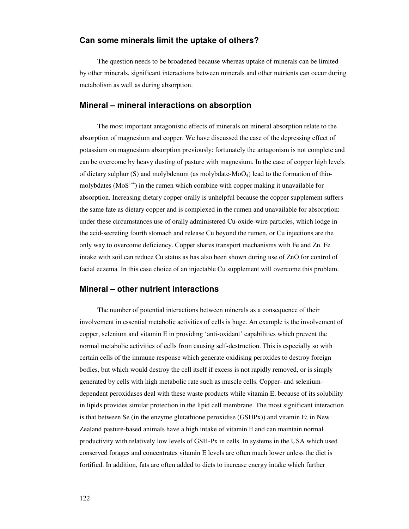# **Can some minerals limit the uptake of others?**

The question needs to be broadened because whereas uptake of minerals can be limited by other minerals, significant interactions between minerals and other nutrients can occur during metabolism as well as during absorption.

#### **Mineral – mineral interactions on absorption**

The most important antagonistic effects of minerals on mineral absorption relate to the absorption of magnesium and copper. We have discussed the case of the depressing effect of potassium on magnesium absorption previously: fortunately the antagonism is not complete and can be overcome by heavy dusting of pasture with magnesium. In the case of copper high levels of dietary sulphur  $(S)$  and molybdenum (as molybdate-MoO<sub>4</sub>) lead to the formation of thiomolybdates ( $\text{MoS}^{1-4}$ ) in the rumen which combine with copper making it unavailable for absorption. Increasing dietary copper orally is unhelpful because the copper supplement suffers the same fate as dietary copper and is complexed in the rumen and unavailable for absorption: under these circumstances use of orally administered Cu-oxide-wire particles, which lodge in the acid-secreting fourth stomach and release Cu beyond the rumen, or Cu injections are the only way to overcome deficiency. Copper shares transport mechanisms with Fe and Zn. Fe intake with soil can reduce Cu status as has also been shown during use of ZnO for control of facial eczema. In this case choice of an injectable Cu supplement will overcome this problem.

# **Mineral – other nutrient interactions**

The number of potential interactions between minerals as a consequence of their involvement in essential metabolic activities of cells is huge. An example is the involvement of copper, selenium and vitamin E in providing 'anti-oxidant' capabilities which prevent the normal metabolic activities of cells from causing self-destruction. This is especially so with certain cells of the immune response which generate oxidising peroxides to destroy foreign bodies, but which would destroy the cell itself if excess is not rapidly removed, or is simply generated by cells with high metabolic rate such as muscle cells. Copper- and seleniumdependent peroxidases deal with these waste products while vitamin E, because of its solubility in lipids provides similar protection in the lipid cell membrane. The most significant interaction is that between Se (in the enzyme glutathione peroxidise (GSHPx)) and vitamin E; in New Zealand pasture-based animals have a high intake of vitamin E and can maintain normal productivity with relatively low levels of GSH-Px in cells. In systems in the USA which used conserved forages and concentrates vitamin E levels are often much lower unless the diet is fortified. In addition, fats are often added to diets to increase energy intake which further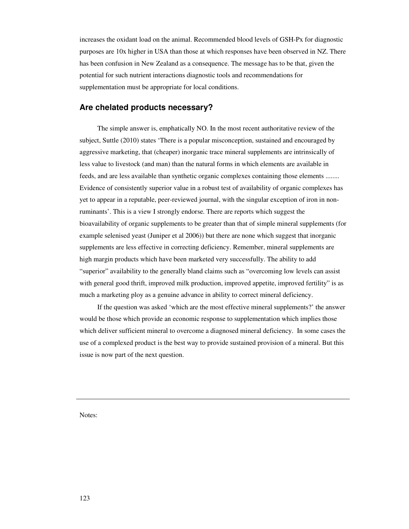increases the oxidant load on the animal. Recommended blood levels of GSH-Px for diagnostic purposes are 10x higher in USA than those at which responses have been observed in NZ. There has been confusion in New Zealand as a consequence. The message has to be that, given the potential for such nutrient interactions diagnostic tools and recommendations for supplementation must be appropriate for local conditions.

# **Are chelated products necessary?**

The simple answer is, emphatically NO. In the most recent authoritative review of the subject, Suttle (2010) states 'There is a popular misconception, sustained and encouraged by aggressive marketing, that (cheaper) inorganic trace mineral supplements are intrinsically of less value to livestock (and man) than the natural forms in which elements are available in feeds, and are less available than synthetic organic complexes containing those elements ........ Evidence of consistently superior value in a robust test of availability of organic complexes has yet to appear in a reputable, peer-reviewed journal, with the singular exception of iron in nonruminants'. This is a view I strongly endorse. There are reports which suggest the bioavailability of organic supplements to be greater than that of simple mineral supplements (for example selenised yeast (Juniper et al 2006)) but there are none which suggest that inorganic supplements are less effective in correcting deficiency. Remember, mineral supplements are high margin products which have been marketed very successfully. The ability to add "superior" availability to the generally bland claims such as "overcoming low levels can assist with general good thrift, improved milk production, improved appetite, improved fertility" is as much a marketing ploy as a genuine advance in ability to correct mineral deficiency.

If the question was asked 'which are the most effective mineral supplements?' the answer would be those which provide an economic response to supplementation which implies those which deliver sufficient mineral to overcome a diagnosed mineral deficiency. In some cases the use of a complexed product is the best way to provide sustained provision of a mineral. But this issue is now part of the next question.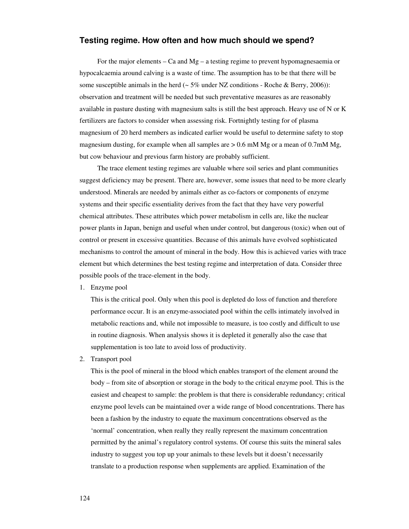# **Testing regime. How often and how much should we spend?**

For the major elements – Ca and  $Mg - a$  testing regime to prevent hypomagnesaemia or hypocalcaemia around calving is a waste of time. The assumption has to be that there will be some susceptible animals in the herd ( $\sim 5\%$  under NZ conditions - Roche & Berry, 2006)): observation and treatment will be needed but such preventative measures as are reasonably available in pasture dusting with magnesium salts is still the best approach. Heavy use of N or K fertilizers are factors to consider when assessing risk. Fortnightly testing for of plasma magnesium of 20 herd members as indicated earlier would be useful to determine safety to stop magnesium dusting, for example when all samples are  $> 0.6$  mM Mg or a mean of 0.7mM Mg, but cow behaviour and previous farm history are probably sufficient.

The trace element testing regimes are valuable where soil series and plant communities suggest deficiency may be present. There are, however, some issues that need to be more clearly understood. Minerals are needed by animals either as co-factors or components of enzyme systems and their specific essentiality derives from the fact that they have very powerful chemical attributes. These attributes which power metabolism in cells are, like the nuclear power plants in Japan, benign and useful when under control, but dangerous (toxic) when out of control or present in excessive quantities. Because of this animals have evolved sophisticated mechanisms to control the amount of mineral in the body. How this is achieved varies with trace element but which determines the best testing regime and interpretation of data. Consider three possible pools of the trace-element in the body.

1. Enzyme pool

This is the critical pool. Only when this pool is depleted do loss of function and therefore performance occur. It is an enzyme-associated pool within the cells intimately involved in metabolic reactions and, while not impossible to measure, is too costly and difficult to use in routine diagnosis. When analysis shows it is depleted it generally also the case that supplementation is too late to avoid loss of productivity.

2. Transport pool

This is the pool of mineral in the blood which enables transport of the element around the body – from site of absorption or storage in the body to the critical enzyme pool. This is the easiest and cheapest to sample: the problem is that there is considerable redundancy; critical enzyme pool levels can be maintained over a wide range of blood concentrations. There has been a fashion by the industry to equate the maximum concentrations observed as the 'normal' concentration, when really they really represent the maximum concentration permitted by the animal's regulatory control systems. Of course this suits the mineral sales industry to suggest you top up your animals to these levels but it doesn't necessarily translate to a production response when supplements are applied. Examination of the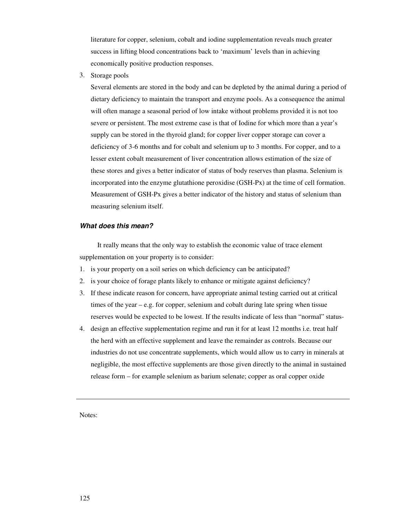literature for copper, selenium, cobalt and iodine supplementation reveals much greater success in lifting blood concentrations back to 'maximum' levels than in achieving economically positive production responses.

3. Storage pools

Several elements are stored in the body and can be depleted by the animal during a period of dietary deficiency to maintain the transport and enzyme pools. As a consequence the animal will often manage a seasonal period of low intake without problems provided it is not too severe or persistent. The most extreme case is that of Iodine for which more than a year's supply can be stored in the thyroid gland; for copper liver copper storage can cover a deficiency of 3-6 months and for cobalt and selenium up to 3 months. For copper, and to a lesser extent cobalt measurement of liver concentration allows estimation of the size of these stores and gives a better indicator of status of body reserves than plasma. Selenium is incorporated into the enzyme glutathione peroxidise (GSH-Px) at the time of cell formation. Measurement of GSH-Px gives a better indicator of the history and status of selenium than measuring selenium itself.

#### *What does this mean?*

It really means that the only way to establish the economic value of trace element supplementation on your property is to consider:

- 1. is your property on a soil series on which deficiency can be anticipated?
- 2. is your choice of forage plants likely to enhance or mitigate against deficiency?
- 3. If these indicate reason for concern, have appropriate animal testing carried out at critical times of the year – e.g. for copper, selenium and cobalt during late spring when tissue reserves would be expected to be lowest. If the results indicate of less than "normal" status-
- 4. design an effective supplementation regime and run it for at least 12 months i.e. treat half the herd with an effective supplement and leave the remainder as controls. Because our industries do not use concentrate supplements, which would allow us to carry in minerals at negligible, the most effective supplements are those given directly to the animal in sustained release form – for example selenium as barium selenate; copper as oral copper oxide